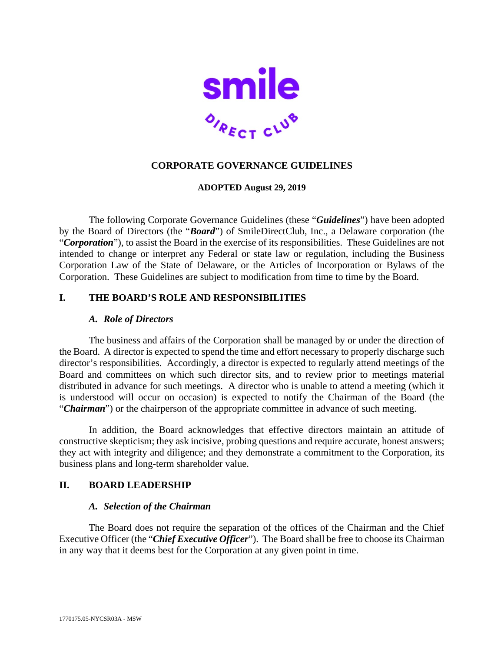

# **CORPORATE GOVERNANCE GUIDELINES**

## **ADOPTED August 29, 2019**

The following Corporate Governance Guidelines (these "*Guidelines*") have been adopted by the Board of Directors (the "*Board*") of SmileDirectClub, Inc., a Delaware corporation (the "*Corporation*"), to assist the Board in the exercise of its responsibilities. These Guidelines are not intended to change or interpret any Federal or state law or regulation, including the Business Corporation Law of the State of Delaware, or the Articles of Incorporation or Bylaws of the Corporation. These Guidelines are subject to modification from time to time by the Board.

## **I. THE BOARD'S ROLE AND RESPONSIBILITIES**

### *A. Role of Directors*

The business and affairs of the Corporation shall be managed by or under the direction of the Board. A director is expected to spend the time and effort necessary to properly discharge such director's responsibilities. Accordingly, a director is expected to regularly attend meetings of the Board and committees on which such director sits, and to review prior to meetings material distributed in advance for such meetings. A director who is unable to attend a meeting (which it is understood will occur on occasion) is expected to notify the Chairman of the Board (the "*Chairman*") or the chairperson of the appropriate committee in advance of such meeting.

In addition, the Board acknowledges that effective directors maintain an attitude of constructive skepticism; they ask incisive, probing questions and require accurate, honest answers; they act with integrity and diligence; and they demonstrate a commitment to the Corporation, its business plans and long-term shareholder value.

## **II. BOARD LEADERSHIP**

### *A. Selection of the Chairman*

The Board does not require the separation of the offices of the Chairman and the Chief Executive Officer (the "*Chief Executive Officer*"). The Board shall be free to choose its Chairman in any way that it deems best for the Corporation at any given point in time.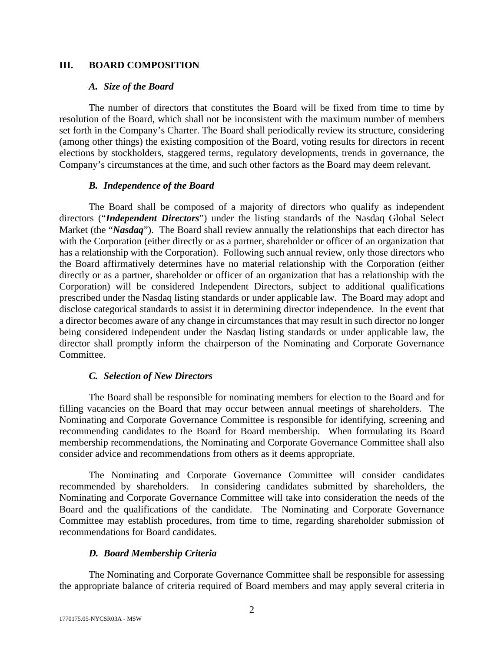## **III. BOARD COMPOSITION**

### *A. Size of the Board*

The number of directors that constitutes the Board will be fixed from time to time by resolution of the Board, which shall not be inconsistent with the maximum number of members set forth in the Company's Charter. The Board shall periodically review its structure, considering (among other things) the existing composition of the Board, voting results for directors in recent elections by stockholders, staggered terms, regulatory developments, trends in governance, the Company's circumstances at the time, and such other factors as the Board may deem relevant.

## *B. Independence of the Board*

The Board shall be composed of a majority of directors who qualify as independent directors ("*Independent Directors*") under the listing standards of the Nasdaq Global Select Market (the "*Nasdaq*"). The Board shall review annually the relationships that each director has with the Corporation (either directly or as a partner, shareholder or officer of an organization that has a relationship with the Corporation). Following such annual review, only those directors who the Board affirmatively determines have no material relationship with the Corporation (either directly or as a partner, shareholder or officer of an organization that has a relationship with the Corporation) will be considered Independent Directors, subject to additional qualifications prescribed under the Nasdaq listing standards or under applicable law. The Board may adopt and disclose categorical standards to assist it in determining director independence. In the event that a director becomes aware of any change in circumstances that may result in such director no longer being considered independent under the Nasdaq listing standards or under applicable law, the director shall promptly inform the chairperson of the Nominating and Corporate Governance Committee.

## *C. Selection of New Directors*

The Board shall be responsible for nominating members for election to the Board and for filling vacancies on the Board that may occur between annual meetings of shareholders. The Nominating and Corporate Governance Committee is responsible for identifying, screening and recommending candidates to the Board for Board membership. When formulating its Board membership recommendations, the Nominating and Corporate Governance Committee shall also consider advice and recommendations from others as it deems appropriate.

The Nominating and Corporate Governance Committee will consider candidates recommended by shareholders. In considering candidates submitted by shareholders, the Nominating and Corporate Governance Committee will take into consideration the needs of the Board and the qualifications of the candidate. The Nominating and Corporate Governance Committee may establish procedures, from time to time, regarding shareholder submission of recommendations for Board candidates.

## *D. Board Membership Criteria*

The Nominating and Corporate Governance Committee shall be responsible for assessing the appropriate balance of criteria required of Board members and may apply several criteria in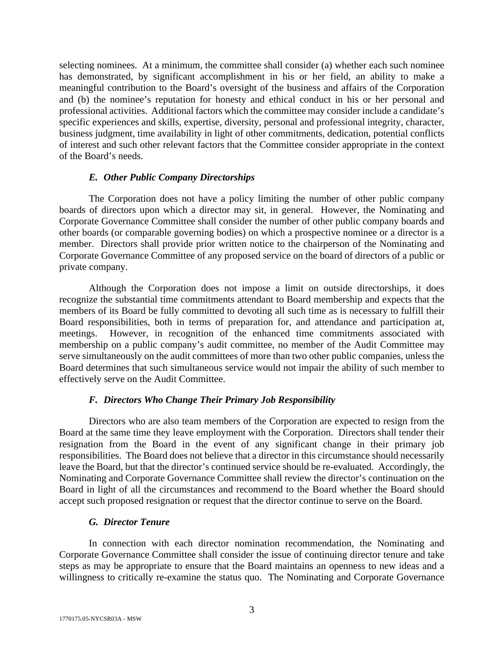selecting nominees. At a minimum, the committee shall consider (a) whether each such nominee has demonstrated, by significant accomplishment in his or her field, an ability to make a meaningful contribution to the Board's oversight of the business and affairs of the Corporation and (b) the nominee's reputation for honesty and ethical conduct in his or her personal and professional activities. Additional factors which the committee may consider include a candidate's specific experiences and skills, expertise, diversity, personal and professional integrity, character, business judgment, time availability in light of other commitments, dedication, potential conflicts of interest and such other relevant factors that the Committee consider appropriate in the context of the Board's needs.

### *E. Other Public Company Directorships*

The Corporation does not have a policy limiting the number of other public company boards of directors upon which a director may sit, in general. However, the Nominating and Corporate Governance Committee shall consider the number of other public company boards and other boards (or comparable governing bodies) on which a prospective nominee or a director is a member. Directors shall provide prior written notice to the chairperson of the Nominating and Corporate Governance Committee of any proposed service on the board of directors of a public or private company.

Although the Corporation does not impose a limit on outside directorships, it does recognize the substantial time commitments attendant to Board membership and expects that the members of its Board be fully committed to devoting all such time as is necessary to fulfill their Board responsibilities, both in terms of preparation for, and attendance and participation at, meetings. However, in recognition of the enhanced time commitments associated with membership on a public company's audit committee, no member of the Audit Committee may serve simultaneously on the audit committees of more than two other public companies, unless the Board determines that such simultaneous service would not impair the ability of such member to effectively serve on the Audit Committee.

## *F. Directors Who Change Their Primary Job Responsibility*

Directors who are also team members of the Corporation are expected to resign from the Board at the same time they leave employment with the Corporation. Directors shall tender their resignation from the Board in the event of any significant change in their primary job responsibilities. The Board does not believe that a director in this circumstance should necessarily leave the Board, but that the director's continued service should be re-evaluated. Accordingly, the Nominating and Corporate Governance Committee shall review the director's continuation on the Board in light of all the circumstances and recommend to the Board whether the Board should accept such proposed resignation or request that the director continue to serve on the Board.

### *G. Director Tenure*

In connection with each director nomination recommendation, the Nominating and Corporate Governance Committee shall consider the issue of continuing director tenure and take steps as may be appropriate to ensure that the Board maintains an openness to new ideas and a willingness to critically re-examine the status quo. The Nominating and Corporate Governance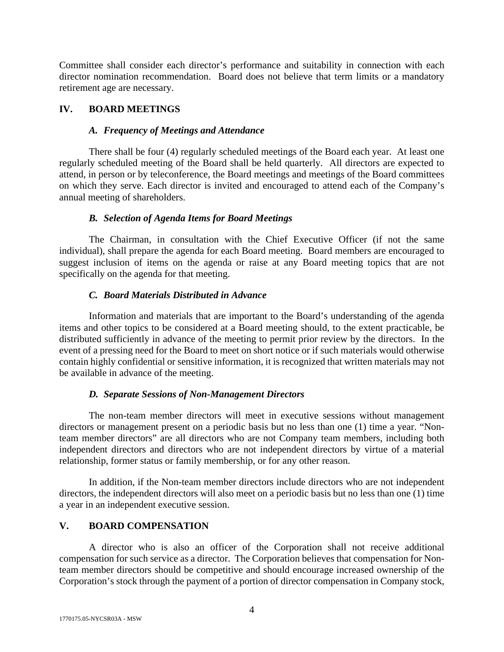Committee shall consider each director's performance and suitability in connection with each director nomination recommendation. Board does not believe that term limits or a mandatory retirement age are necessary.

# **IV. BOARD MEETINGS**

## *A. Frequency of Meetings and Attendance*

There shall be four (4) regularly scheduled meetings of the Board each year. At least one regularly scheduled meeting of the Board shall be held quarterly. All directors are expected to attend, in person or by teleconference, the Board meetings and meetings of the Board committees on which they serve. Each director is invited and encouraged to attend each of the Company's annual meeting of shareholders.

## *B. Selection of Agenda Items for Board Meetings*

The Chairman, in consultation with the Chief Executive Officer (if not the same individual), shall prepare the agenda for each Board meeting. Board members are encouraged to suggest inclusion of items on the agenda or raise at any Board meeting topics that are not specifically on the agenda for that meeting.

# *C. Board Materials Distributed in Advance*

Information and materials that are important to the Board's understanding of the agenda items and other topics to be considered at a Board meeting should, to the extent practicable, be distributed sufficiently in advance of the meeting to permit prior review by the directors. In the event of a pressing need for the Board to meet on short notice or if such materials would otherwise contain highly confidential or sensitive information, it is recognized that written materials may not be available in advance of the meeting.

# *D. Separate Sessions of Non-Management Directors*

The non-team member directors will meet in executive sessions without management directors or management present on a periodic basis but no less than one (1) time a year. "Nonteam member directors" are all directors who are not Company team members, including both independent directors and directors who are not independent directors by virtue of a material relationship, former status or family membership, or for any other reason.

In addition, if the Non-team member directors include directors who are not independent directors, the independent directors will also meet on a periodic basis but no less than one (1) time a year in an independent executive session.

# **V. BOARD COMPENSATION**

A director who is also an officer of the Corporation shall not receive additional compensation for such service as a director. The Corporation believes that compensation for Nonteam member directors should be competitive and should encourage increased ownership of the Corporation's stock through the payment of a portion of director compensation in Company stock,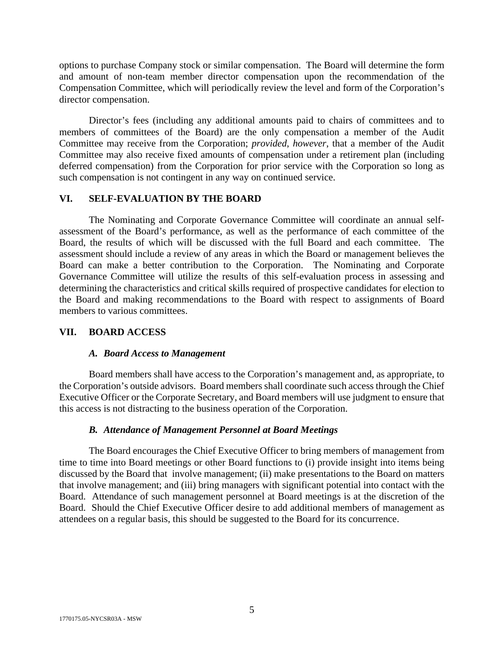options to purchase Company stock or similar compensation. The Board will determine the form and amount of non-team member director compensation upon the recommendation of the Compensation Committee, which will periodically review the level and form of the Corporation's director compensation.

Director's fees (including any additional amounts paid to chairs of committees and to members of committees of the Board) are the only compensation a member of the Audit Committee may receive from the Corporation; *provided*, *however*, that a member of the Audit Committee may also receive fixed amounts of compensation under a retirement plan (including deferred compensation) from the Corporation for prior service with the Corporation so long as such compensation is not contingent in any way on continued service.

### **VI. SELF-EVALUATION BY THE BOARD**

The Nominating and Corporate Governance Committee will coordinate an annual selfassessment of the Board's performance, as well as the performance of each committee of the Board, the results of which will be discussed with the full Board and each committee. The assessment should include a review of any areas in which the Board or management believes the Board can make a better contribution to the Corporation. The Nominating and Corporate Governance Committee will utilize the results of this self-evaluation process in assessing and determining the characteristics and critical skills required of prospective candidates for election to the Board and making recommendations to the Board with respect to assignments of Board members to various committees.

### **VII. BOARD ACCESS**

### *A. Board Access to Management*

Board members shall have access to the Corporation's management and, as appropriate, to the Corporation's outside advisors. Board members shall coordinate such access through the Chief Executive Officer or the Corporate Secretary, and Board members will use judgment to ensure that this access is not distracting to the business operation of the Corporation.

### *B. Attendance of Management Personnel at Board Meetings*

The Board encourages the Chief Executive Officer to bring members of management from time to time into Board meetings or other Board functions to (i) provide insight into items being discussed by the Board that involve management; (ii) make presentations to the Board on matters that involve management; and (iii) bring managers with significant potential into contact with the Board. Attendance of such management personnel at Board meetings is at the discretion of the Board. Should the Chief Executive Officer desire to add additional members of management as attendees on a regular basis, this should be suggested to the Board for its concurrence.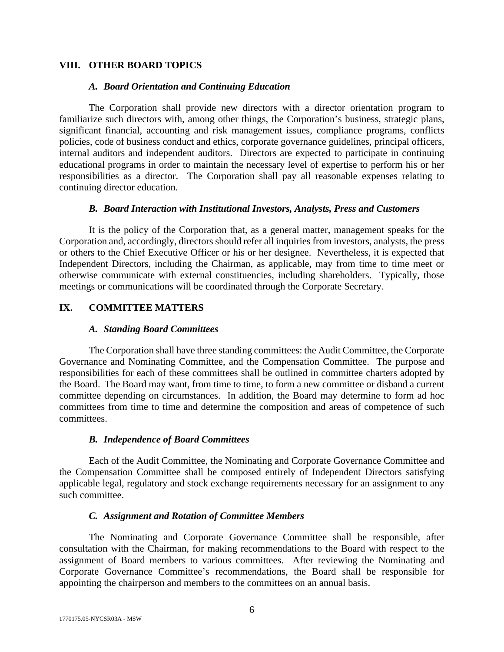### **VIII. OTHER BOARD TOPICS**

#### *A. Board Orientation and Continuing Education*

The Corporation shall provide new directors with a director orientation program to familiarize such directors with, among other things, the Corporation's business, strategic plans, significant financial, accounting and risk management issues, compliance programs, conflicts policies, code of business conduct and ethics, corporate governance guidelines, principal officers, internal auditors and independent auditors. Directors are expected to participate in continuing educational programs in order to maintain the necessary level of expertise to perform his or her responsibilities as a director. The Corporation shall pay all reasonable expenses relating to continuing director education.

### *B. Board Interaction with Institutional Investors, Analysts, Press and Customers*

It is the policy of the Corporation that, as a general matter, management speaks for the Corporation and, accordingly, directors should refer all inquiries from investors, analysts, the press or others to the Chief Executive Officer or his or her designee. Nevertheless, it is expected that Independent Directors, including the Chairman, as applicable, may from time to time meet or otherwise communicate with external constituencies, including shareholders. Typically, those meetings or communications will be coordinated through the Corporate Secretary.

## **IX. COMMITTEE MATTERS**

### *A. Standing Board Committees*

The Corporation shall have three standing committees: the Audit Committee, the Corporate Governance and Nominating Committee, and the Compensation Committee. The purpose and responsibilities for each of these committees shall be outlined in committee charters adopted by the Board. The Board may want, from time to time, to form a new committee or disband a current committee depending on circumstances. In addition, the Board may determine to form ad hoc committees from time to time and determine the composition and areas of competence of such committees.

## *B. Independence of Board Committees*

Each of the Audit Committee, the Nominating and Corporate Governance Committee and the Compensation Committee shall be composed entirely of Independent Directors satisfying applicable legal, regulatory and stock exchange requirements necessary for an assignment to any such committee.

## *C. Assignment and Rotation of Committee Members*

The Nominating and Corporate Governance Committee shall be responsible, after consultation with the Chairman, for making recommendations to the Board with respect to the assignment of Board members to various committees. After reviewing the Nominating and Corporate Governance Committee's recommendations, the Board shall be responsible for appointing the chairperson and members to the committees on an annual basis.